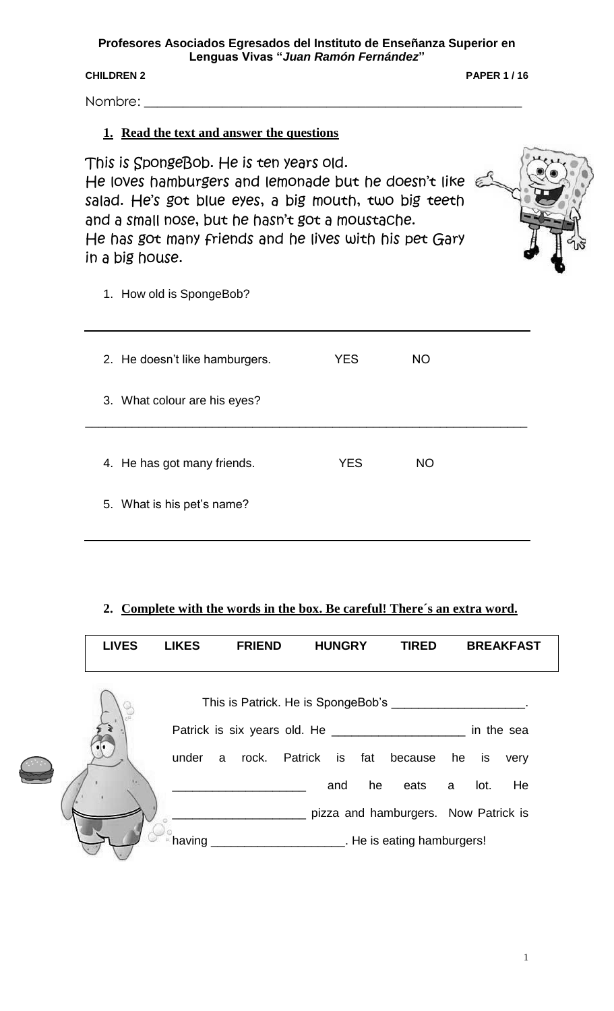**Profesores Asociados Egresados del Instituto de Enseñanza Superior en Lenguas Vivas "***Juan Ramón Fernández***"**

**CHILDREN 2 PAPER 1 / 16**

Nombre: \_\_\_\_\_\_\_\_\_\_\_\_\_\_\_\_\_\_\_\_\_\_\_\_\_\_\_\_\_\_\_\_\_\_\_\_\_\_\_\_\_\_\_\_\_\_\_\_\_\_\_\_\_\_\_\_\_\_

## **1. Read the text and answer the questions**

This is SpongeBob. He is ten years old. He loves hamburgers and lemonade but he doesn't like salad. He's got blue eyes, a big mouth, two big teeth and a small nose, but he hasn't got a moustache. He has got many friends and he lives with his pet Gary in a big house.



1. How old is SpongeBob?

| 2. He doesn't like hamburgers. | <b>YES</b> | NO        |  |
|--------------------------------|------------|-----------|--|
| 3. What colour are his eyes?   |            |           |  |
|                                |            |           |  |
| 4. He has got many friends.    | <b>YES</b> | <b>NO</b> |  |
| 5. What is his pet's name?     |            |           |  |
|                                |            |           |  |

## **2. Complete with the words in the box. Be careful! There´s an extra word.**

| <b>LIVES</b> | <b>LIKES</b> | <b>FRIEND</b> | <b>HUNGRY</b>    | <b>TIRED</b>                                  | <b>BREAKFAST</b>                                          |  |
|--------------|--------------|---------------|------------------|-----------------------------------------------|-----------------------------------------------------------|--|
|              |              |               |                  |                                               | This is Patrick. He is SpongeBob's _____________________. |  |
|              |              |               |                  |                                               | in the sea                                                |  |
|              | under        | a             | rock. Patrick is | fat<br>because he is                          | very                                                      |  |
|              |              |               | and              | he<br>eats                                    | He<br>lot.<br>a                                           |  |
|              |              |               |                  |                                               | pizza and hamburgers. Now Patrick is                      |  |
|              | having       |               |                  | <b>EXAMPLE 2014</b> The is eating hamburgers! |                                                           |  |